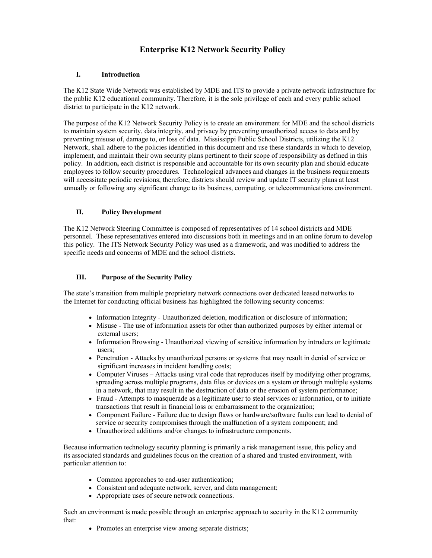# **Enterprise K12 Network Security Policy**

## **I. Introduction**

The K12 State Wide Network was established by MDE and ITS to provide a private network infrastructure for the public K12 educational community. Therefore, it is the sole privilege of each and every public school district to participate in the K12 network.

The purpose of the K12 Network Security Policy is to create an environment for MDE and the school districts to maintain system security, data integrity, and privacy by preventing unauthorized access to data and by preventing misuse of, damage to, or loss of data. Mississippi Public School Districts, utilizing the K12 Network, shall adhere to the policies identified in this document and use these standards in which to develop, implement, and maintain their own security plans pertinent to their scope of responsibility as defined in this policy. In addition**,** each district is responsible and accountable for its own security plan and should educate employees to follow security procedures. Technological advances and changes in the business requirements will necessitate periodic revisions; therefore, districts should review and update IT security plans at least annually or following any significant change to its business, computing, or telecommunications environment.

## **II. Policy Development**

The K12 Network Steering Committee is composed of representatives of 14 school districts and MDE personnel. These representatives entered into discussions both in meetings and in an online forum to develop this policy. The ITS Network Security Policy was used as a framework, and was modified to address the specific needs and concerns of MDE and the school districts.

#### **III. Purpose of the Security Policy**

The state's transition from multiple proprietary network connections over dedicated leased networks to the Internet for conducting official business has highlighted the following security concerns:

- Information Integrity Unauthorized deletion, modification or disclosure of information;
- Misuse The use of information assets for other than authorized purposes by either internal or external users;
- Information Browsing Unauthorized viewing of sensitive information by intruders or legitimate users;
- Penetration Attacks by unauthorized persons or systems that may result in denial of service or significant increases in incident handling costs;
- Computer Viruses Attacks using viral code that reproduces itself by modifying other programs, spreading across multiple programs, data files or devices on a system or through multiple systems in a network, that may result in the destruction of data or the erosion of system performance;
- Fraud Attempts to masquerade as a legitimate user to steal services or information, or to initiate transactions that result in financial loss or embarrassment to the organization;
- Component Failure Failure due to design flaws or hardware/software faults can lead to denial of service or security compromises through the malfunction of a system component; and
- Unauthorized additions and/or changes to infrastructure components.

Because information technology security planning is primarily a risk management issue, this policy and its associated standards and guidelines focus on the creation of a shared and trusted environment, with particular attention to:

- Common approaches to end-user authentication;
- Consistent and adequate network, server, and data management;
- Appropriate uses of secure network connections.

Such an environment is made possible through an enterprise approach to security in the K12 community that:

• Promotes an enterprise view among separate districts: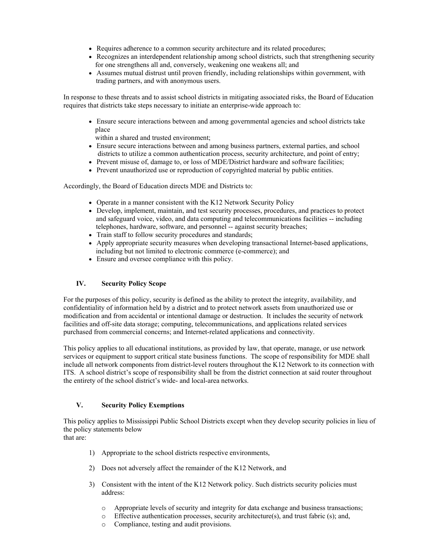- Requires adherence to a common security architecture and its related procedures;
- Recognizes an interdependent relationship among school districts, such that strengthening security for one strengthens all and, conversely, weakening one weakens all; and
- Assumes mutual distrust until proven friendly, including relationships within government, with trading partners, and with anonymous users.

In response to these threats and to assist school districts in mitigating associated risks, the Board of Education requires that districts take steps necessary to initiate an enterprise-wide approach to:

- Ensure secure interactions between and among governmental agencies and school districts take place
- within a shared and trusted environment;
- Ensure secure interactions between and among business partners, external parties, and school districts to utilize a common authentication process, security architecture, and point of entry;
- Prevent misuse of, damage to, or loss of MDE/District hardware and software facilities;
- Prevent unauthorized use or reproduction of copyrighted material by public entities.

Accordingly, the Board of Education directs MDE and Districts to:

- Operate in a manner consistent with the K12 Network Security Policy
- Develop, implement, maintain, and test security processes, procedures, and practices to protect and safeguard voice, video, and data computing and telecommunications facilities -- including telephones, hardware, software, and personnel -- against security breaches;
- Train staff to follow security procedures and standards;
- Apply appropriate security measures when developing transactional Internet-based applications, including but not limited to electronic commerce (e-commerce); and
- Ensure and oversee compliance with this policy.

## **IV. Security Policy Scope**

For the purposes of this policy, security is defined as the ability to protect the integrity, availability, and confidentiality of information held by a district and to protect network assets from unauthorized use or modification and from accidental or intentional damage or destruction. It includes the security of network facilities and off-site data storage; computing, telecommunications, and applications related services purchased from commercial concerns; and Internet-related applications and connectivity.

This policy applies to all educational institutions, as provided by law, that operate, manage, or use network services or equipment to support critical state business functions. The scope of responsibility for MDE shall include all network components from district-level routers throughout the K12 Network to its connection with ITS. A school district's scope of responsibility shall be from the district connection at said router throughout the entirety of the school district's wide- and local-area networks.

## **V. Security Policy Exemptions**

This policy applies to Mississippi Public School Districts except when they develop security policies in lieu of the policy statements below

that are:

- 1) Appropriate to the school districts respective environments,
- 2) Does not adversely affect the remainder of the K12 Network, and
- 3) Consistent with the intent of the K12 Network policy. Such districts security policies must address:
	- o Appropriate levels of security and integrity for data exchange and business transactions;
	- $\circ$  Effective authentication processes, security architecture(s), and trust fabric (s); and,
	- o Compliance, testing and audit provisions.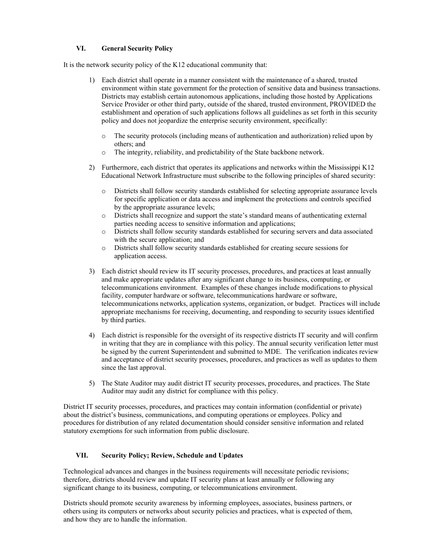# **VI. General Security Policy**

It is the network security policy of the K12 educational community that:

- 1) Each district shall operate in a manner consistent with the maintenance of a shared, trusted environment within state government for the protection of sensitive data and business transactions. Districts may establish certain autonomous applications, including those hosted by Applications Service Provider or other third party, outside of the shared, trusted environment, PROVIDED the establishment and operation of such applications follows all guidelines as set forth in this security policy and does not jeopardize the enterprise security environment, specifically:
	- o The security protocols (including means of authentication and authorization) relied upon by others; and
	- o The integrity, reliability, and predictability of the State backbone network.
- 2) Furthermore, each district that operates its applications and networks within the Mississippi K12 Educational Network Infrastructure must subscribe to the following principles of shared security:
	- o Districts shall follow security standards established for selecting appropriate assurance levels for specific application or data access and implement the protections and controls specified by the appropriate assurance levels;
	- o Districts shall recognize and support the state's standard means of authenticating external parties needing access to sensitive information and applications;
	- o Districts shall follow security standards established for securing servers and data associated with the secure application; and
	- o Districts shall follow security standards established for creating secure sessions for application access.
- 3) Each district should review its IT security processes, procedures, and practices at least annually and make appropriate updates after any significant change to its business, computing, or telecommunications environment. Examples of these changes include modifications to physical facility, computer hardware or software, telecommunications hardware or software, telecommunications networks, application systems, organization, or budget. Practices will include appropriate mechanisms for receiving, documenting, and responding to security issues identified by third parties.
- 4) Each district is responsible for the oversight of its respective districts IT security and will confirm in writing that they are in compliance with this policy. The annual security verification letter must be signed by the current Superintendent and submitted to MDE. The verification indicates review and acceptance of district security processes, procedures, and practices as well as updates to them since the last approval.
- 5) The State Auditor may audit district IT security processes, procedures, and practices. The State Auditor may audit any district for compliance with this policy.

District IT security processes, procedures, and practices may contain information (confidential or private) about the district's business, communications, and computing operations or employees. Policy and procedures for distribution of any related documentation should consider sensitive information and related statutory exemptions for such information from public disclosure.

## **VII. Security Policy; Review, Schedule and Updates**

Technological advances and changes in the business requirements will necessitate periodic revisions; therefore, districts should review and update IT security plans at least annually or following any significant change to its business, computing, or telecommunications environment.

Districts should promote security awareness by informing employees, associates, business partners, or others using its computers or networks about security policies and practices, what is expected of them, and how they are to handle the information.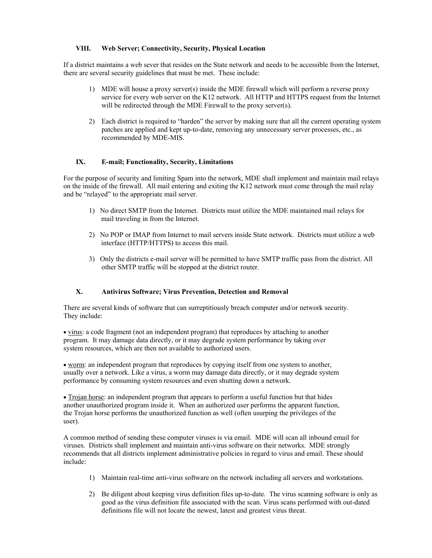## **VIII. Web Server; Connectivity, Security, Physical Location**

If a district maintains a web sever that resides on the State network and needs to be accessible from the Internet, there are several security guidelines that must be met. These include:

- 1) MDE will house a proxy server(s) inside the MDE firewall which will perform a reverse proxy service for every web server on the K12 network. All HTTP and HTTPS request from the Internet will be redirected through the MDE Firewall to the proxy server(s).
- 2) Each district is required to "harden" the server by making sure that all the current operating system patches are applied and kept up-to-date, removing any unnecessary server processes, etc., as recommended by MDE-MIS.

## **IX. E-mail; Functionality, Security, Limitations**

For the purpose of security and limiting Spam into the network, MDE shall implement and maintain mail relays on the inside of the firewall. All mail entering and exiting the K12 network must come through the mail relay and be "relayed" to the appropriate mail server.

- 1) No direct SMTP from the Internet. Districts must utilize the MDE maintained mail relays for mail traveling in from the Internet.
- 2) No POP or IMAP from Internet to mail servers inside State network. Districts must utilize a web interface (HTTP/HTTPS) to access this mail.
- 3) Only the districts e-mail server will be permitted to have SMTP traffic pass from the district. All other SMTP traffic will be stopped at the district router.

## **X. Antivirus Software; Virus Prevention, Detection and Removal**

There are several kinds of software that can surreptitiously breach computer and/or network security. They include:

• virus: a code fragment (not an independent program) that reproduces by attaching to another program. It may damage data directly, or it may degrade system performance by taking over system resources, which are then not available to authorized users.

• worm: an independent program that reproduces by copying itself from one system to another, usually over a network. Like a virus, a worm may damage data directly, or it may degrade system performance by consuming system resources and even shutting down a network.

• Trojan horse: an independent program that appears to perform a useful function but that hides another unauthorized program inside it. When an authorized user performs the apparent function, the Trojan horse performs the unauthorized function as well (often usurping the privileges of the user).

A common method of sending these computer viruses is via email. MDE will scan all inbound email for viruses. Districts shall implement and maintain anti-virus software on their networks. MDE strongly recommends that all districts implement administrative policies in regard to virus and email. These should include:

- 1) Maintain real-time anti-virus software on the network including all servers and workstations.
- 2) Be diligent about keeping virus definition files up-to-date. The virus scanning software is only as good as the virus definition file associated with the scan. Virus scans performed with out-dated definitions file will not locate the newest, latest and greatest virus threat.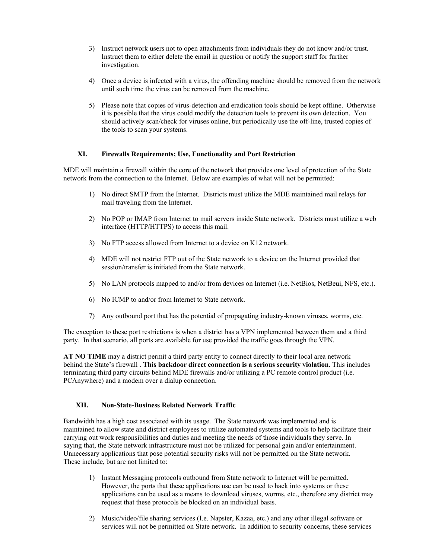- 3) Instruct network users not to open attachments from individuals they do not know and/or trust. Instruct them to either delete the email in question or notify the support staff for further investigation.
- 4) Once a device is infected with a virus, the offending machine should be removed from the network until such time the virus can be removed from the machine.
- 5) Please note that copies of virus-detection and eradication tools should be kept offline. Otherwise it is possible that the virus could modify the detection tools to prevent its own detection. You should actively scan/check for viruses online, but periodically use the off-line, trusted copies of the tools to scan your systems.

#### **XI. Firewalls Requirements; Use, Functionality and Port Restriction**

MDE will maintain a firewall within the core of the network that provides one level of protection of the State network from the connection to the Internet. Below are examples of what will not be permitted:

- 1) No direct SMTP from the Internet. Districts must utilize the MDE maintained mail relays for mail traveling from the Internet.
- 2) No POP or IMAP from Internet to mail servers inside State network. Districts must utilize a web interface (HTTP/HTTPS) to access this mail.
- 3) No FTP access allowed from Internet to a device on K12 network.
- 4) MDE will not restrict FTP out of the State network to a device on the Internet provided that session/transfer is initiated from the State network.
- 5) No LAN protocols mapped to and/or from devices on Internet (i.e. NetBios, NetBeui, NFS, etc.).
- 6) No ICMP to and/or from Internet to State network.
- 7) Any outbound port that has the potential of propagating industry-known viruses, worms, etc.

The exception to these port restrictions is when a district has a VPN implemented between them and a third party. In that scenario, all ports are available for use provided the traffic goes through the VPN.

**AT NO TIME** may a district permit a third party entity to connect directly to their local area network behind the State's firewall . **This backdoor direct connection is a serious security violation.** This includes terminating third party circuits behind MDE firewalls and/or utilizing a PC remote control product (i.e. PCAnywhere) and a modem over a dialup connection.

## **XII. Non-State-Business Related Network Traffic**

Bandwidth has a high cost associated with its usage. The State network was implemented and is maintained to allow state and district employees to utilize automated systems and tools to help facilitate their carrying out work responsibilities and duties and meeting the needs of those individuals they serve. In saying that, the State network infrastructure must not be utilized for personal gain and/or entertainment. Unnecessary applications that pose potential security risks will not be permitted on the State network. These include, but are not limited to:

- 1) Instant Messaging protocols outbound from State network to Internet will be permitted. However, the ports that these applications use can be used to hack into systems or these applications can be used as a means to download viruses, worms, etc., therefore any district may request that these protocols be blocked on an individual basis.
- 2) Music/video/file sharing services (I.e. Napster, Kazaa, etc.) and any other illegal software or services will not be permitted on State network. In addition to security concerns, these services